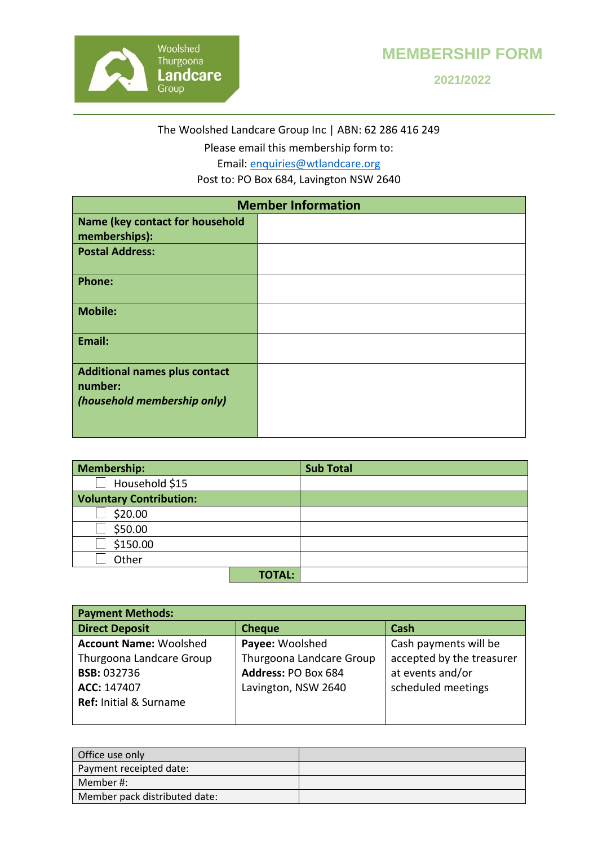

## **MEMBERSHIP FORM**

**2021/2022**

The Woolshed Landcare Group Inc | ABN: 62 286 416 249

Please email this membership form to:

Email: [enquiries@wtlandcare.org](mailto:enquiries@wtlandcare.org) 

Post to: PO Box 684, Lavington NSW 2640

| <b>Member Information</b>                                                      |  |  |
|--------------------------------------------------------------------------------|--|--|
| <b>Name (key contact for household</b><br>memberships):                        |  |  |
| <b>Postal Address:</b>                                                         |  |  |
| <b>Phone:</b>                                                                  |  |  |
| <b>Mobile:</b>                                                                 |  |  |
| Email:                                                                         |  |  |
| <b>Additional names plus contact</b><br>number:<br>(household membership only) |  |  |

| Membership:                    |               | <b>Sub Total</b> |
|--------------------------------|---------------|------------------|
| Household \$15                 |               |                  |
| <b>Voluntary Contribution:</b> |               |                  |
| \$20.00                        |               |                  |
| \$50.00                        |               |                  |
| \$150.00                       |               |                  |
| Other                          |               |                  |
|                                | <b>TOTAL:</b> |                  |

| <b>Payment Methods:</b>           |                          |                           |  |  |
|-----------------------------------|--------------------------|---------------------------|--|--|
| <b>Direct Deposit</b>             | <b>Cheque</b>            | Cash                      |  |  |
| <b>Account Name: Woolshed</b>     | Payee: Woolshed          | Cash payments will be     |  |  |
| Thurgoona Landcare Group          | Thurgoona Landcare Group | accepted by the treasurer |  |  |
| <b>BSB: 032736</b>                | Address: PO Box 684      | at events and/or          |  |  |
| ACC: 147407                       | Lavington, NSW 2640      | scheduled meetings        |  |  |
| <b>Ref: Initial &amp; Surname</b> |                          |                           |  |  |
|                                   |                          |                           |  |  |

| Office use only               |  |
|-------------------------------|--|
| Payment receipted date:       |  |
| Member #:                     |  |
| Member pack distributed date: |  |